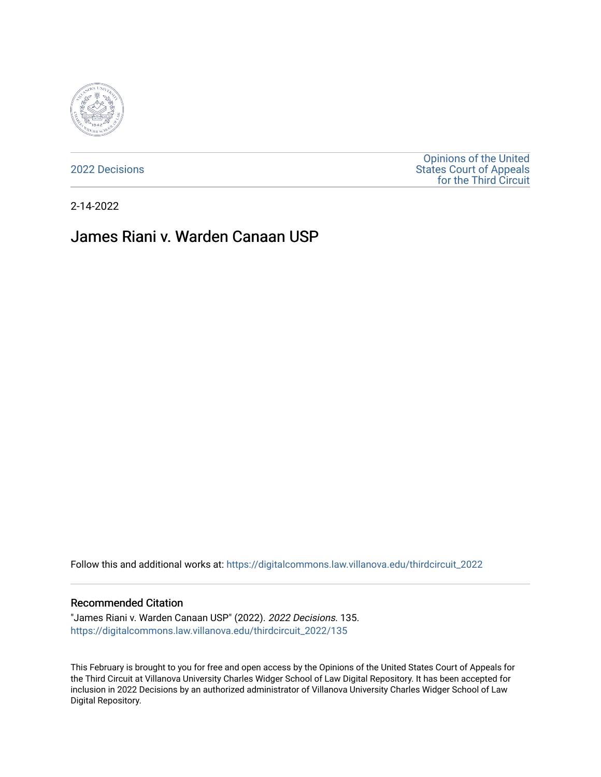

[2022 Decisions](https://digitalcommons.law.villanova.edu/thirdcircuit_2022)

[Opinions of the United](https://digitalcommons.law.villanova.edu/thirdcircuit)  [States Court of Appeals](https://digitalcommons.law.villanova.edu/thirdcircuit)  [for the Third Circuit](https://digitalcommons.law.villanova.edu/thirdcircuit) 

2-14-2022

# James Riani v. Warden Canaan USP

Follow this and additional works at: [https://digitalcommons.law.villanova.edu/thirdcircuit\\_2022](https://digitalcommons.law.villanova.edu/thirdcircuit_2022?utm_source=digitalcommons.law.villanova.edu%2Fthirdcircuit_2022%2F135&utm_medium=PDF&utm_campaign=PDFCoverPages) 

#### Recommended Citation

"James Riani v. Warden Canaan USP" (2022). 2022 Decisions. 135. [https://digitalcommons.law.villanova.edu/thirdcircuit\\_2022/135](https://digitalcommons.law.villanova.edu/thirdcircuit_2022/135?utm_source=digitalcommons.law.villanova.edu%2Fthirdcircuit_2022%2F135&utm_medium=PDF&utm_campaign=PDFCoverPages)

This February is brought to you for free and open access by the Opinions of the United States Court of Appeals for the Third Circuit at Villanova University Charles Widger School of Law Digital Repository. It has been accepted for inclusion in 2022 Decisions by an authorized administrator of Villanova University Charles Widger School of Law Digital Repository.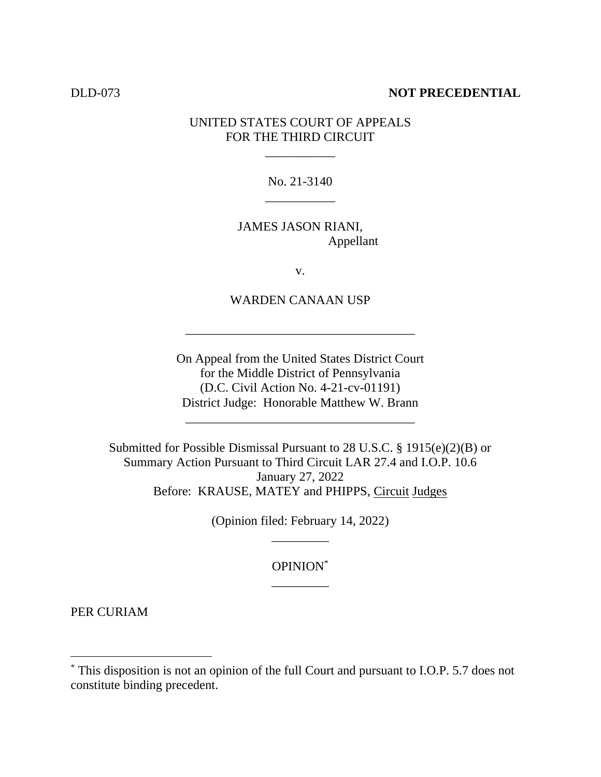### DLD-073 **NOT PRECEDENTIAL**

## UNITED STATES COURT OF APPEALS FOR THE THIRD CIRCUIT

\_\_\_\_\_\_\_\_\_\_\_

No. 21-3140 \_\_\_\_\_\_\_\_\_\_\_

JAMES JASON RIANI, Appellant

v.

WARDEN CANAAN USP

\_\_\_\_\_\_\_\_\_\_\_\_\_\_\_\_\_\_\_\_\_\_\_\_\_\_\_\_\_\_\_\_\_\_\_\_

On Appeal from the United States District Court for the Middle District of Pennsylvania (D.C. Civil Action No. 4-21-cv-01191) District Judge: Honorable Matthew W. Brann

\_\_\_\_\_\_\_\_\_\_\_\_\_\_\_\_\_\_\_\_\_\_\_\_\_\_\_\_\_\_\_\_\_\_\_\_

Submitted for Possible Dismissal Pursuant to 28 U.S.C. § 1915(e)(2)(B) or Summary Action Pursuant to Third Circuit LAR 27.4 and I.O.P. 10.6 January 27, 2022 Before: KRAUSE, MATEY and PHIPPS, Circuit Judges

> (Opinion filed: February 14, 2022) \_\_\_\_\_\_\_\_\_

> > OPINION\* \_\_\_\_\_\_\_\_\_

PER CURIAM

<sup>\*</sup> This disposition is not an opinion of the full Court and pursuant to I.O.P. 5.7 does not constitute binding precedent.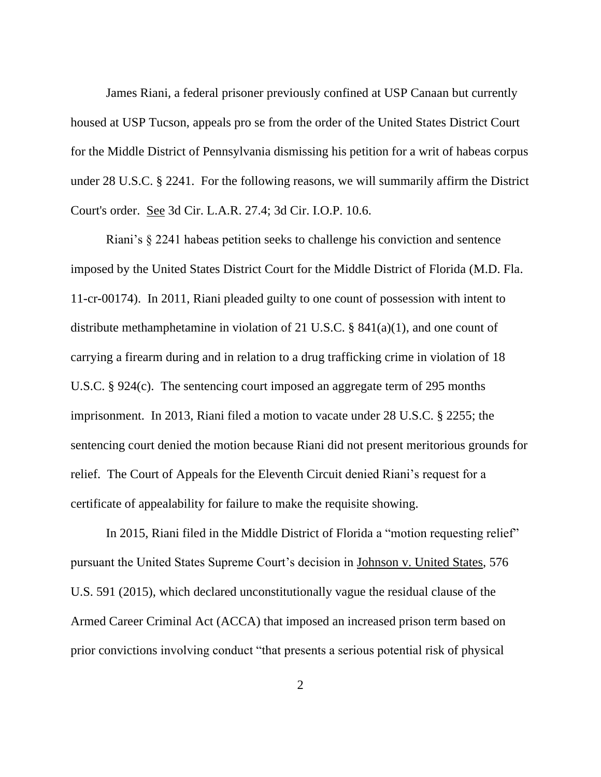James Riani, a federal prisoner previously confined at USP Canaan but currently housed at USP Tucson, appeals pro se from the order of the United States District Court for the Middle District of Pennsylvania dismissing his petition for a writ of habeas corpus under 28 U.S.C. § 2241. For the following reasons, we will summarily affirm the District Court's order. See 3d Cir. L.A.R. 27.4; 3d Cir. I.O.P. 10.6.

Riani's § 2241 habeas petition seeks to challenge his conviction and sentence imposed by the United States District Court for the Middle District of Florida (M.D. Fla. 11-cr-00174). In 2011, Riani pleaded guilty to one count of possession with intent to distribute methamphetamine in violation of 21 U.S.C. § 841(a)(1), and one count of carrying a firearm during and in relation to a drug trafficking crime in violation of 18 U.S.C. § 924(c). The sentencing court imposed an aggregate term of 295 months imprisonment. In 2013, Riani filed a motion to vacate under 28 U.S.C. § 2255; the sentencing court denied the motion because Riani did not present meritorious grounds for relief. The Court of Appeals for the Eleventh Circuit denied Riani's request for a certificate of appealability for failure to make the requisite showing.

In 2015, Riani filed in the Middle District of Florida a "motion requesting relief" pursuant the United States Supreme Court's decision in Johnson v. United States, 576 U.S. 591 (2015), which declared unconstitutionally vague the residual clause of the Armed Career Criminal Act (ACCA) that imposed an increased prison term based on prior convictions involving conduct "that presents a serious potential risk of physical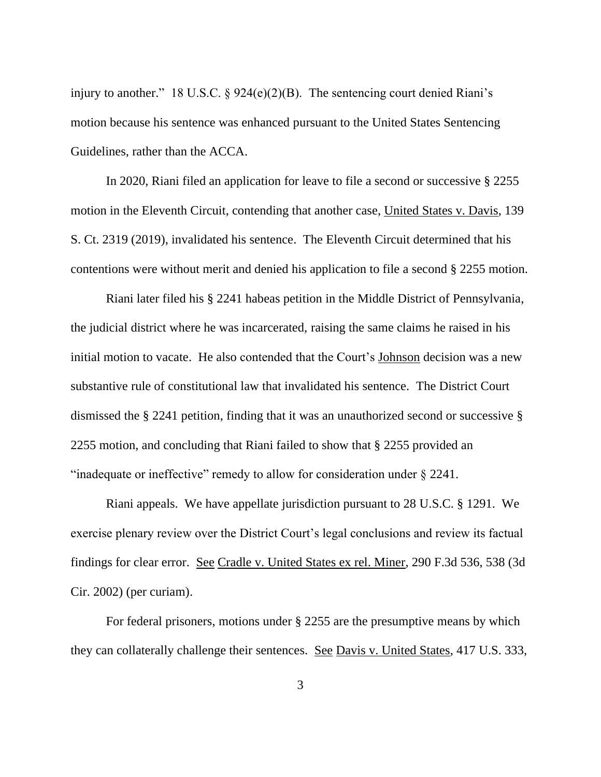injury to another." 18 U.S.C. § 924(e)(2)(B). The sentencing court denied Riani's motion because his sentence was enhanced pursuant to the United States Sentencing Guidelines, rather than the ACCA.

In 2020, Riani filed an application for leave to file a second or successive § 2255 motion in the Eleventh Circuit, contending that another case, United States v. Davis, 139 S. Ct. 2319 (2019), invalidated his sentence. The Eleventh Circuit determined that his contentions were without merit and denied his application to file a second § 2255 motion.

Riani later filed his § 2241 habeas petition in the Middle District of Pennsylvania, the judicial district where he was incarcerated, raising the same claims he raised in his initial motion to vacate. He also contended that the Court's Johnson decision was a new substantive rule of constitutional law that invalidated his sentence. The District Court dismissed the § 2241 petition, finding that it was an unauthorized second or successive § 2255 motion, and concluding that Riani failed to show that § 2255 provided an "inadequate or ineffective" remedy to allow for consideration under § 2241.

Riani appeals. We have appellate jurisdiction pursuant to 28 U.S.C. § 1291. We exercise plenary review over the District Court's legal conclusions and review its factual findings for clear error. See Cradle v. United States ex rel. Miner, 290 F.3d 536, 538 (3d Cir. 2002) (per curiam).

For federal prisoners, motions under § 2255 are the presumptive means by which they can collaterally challenge their sentences. See Davis v. United States, 417 U.S. 333,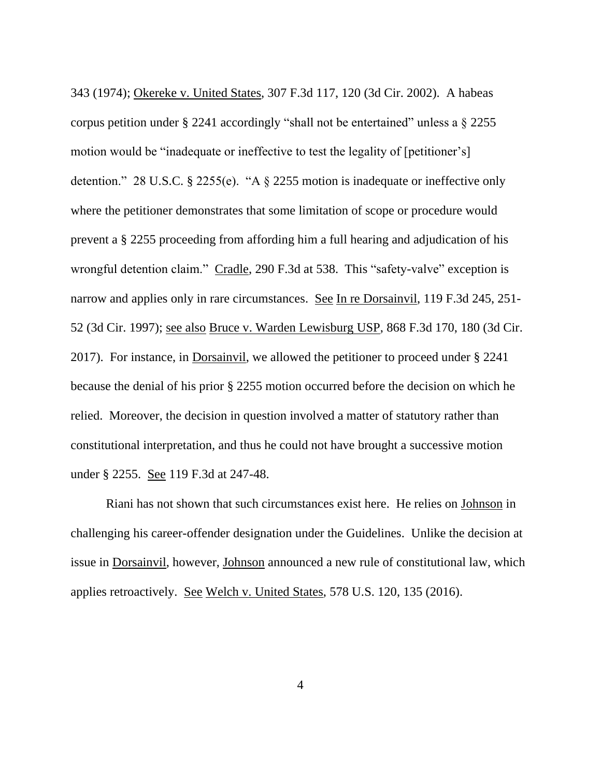343 (1974); Okereke v. United States, 307 F.3d 117, 120 (3d Cir. 2002). A habeas corpus petition under § 2241 accordingly "shall not be entertained" unless a § 2255 motion would be "inadequate or ineffective to test the legality of [petitioner's] detention." 28 U.S.C. § 2255(e). "A § 2255 motion is inadequate or ineffective only where the petitioner demonstrates that some limitation of scope or procedure would prevent a § 2255 proceeding from affording him a full hearing and adjudication of his wrongful detention claim." Cradle, 290 F.3d at 538. This "safety-valve" exception is narrow and applies only in rare circumstances. See In re Dorsainvil, 119 F.3d 245, 251- 52 (3d Cir. 1997); see also Bruce v. Warden Lewisburg USP, 868 F.3d 170, 180 (3d Cir. 2017). For instance, in Dorsainvil, we allowed the petitioner to proceed under § 2241 because the denial of his prior § 2255 motion occurred before the decision on which he relied. Moreover, the decision in question involved a matter of statutory rather than constitutional interpretation, and thus he could not have brought a successive motion under § 2255. See 119 F.3d at 247-48.

Riani has not shown that such circumstances exist here. He relies on Johnson in challenging his career-offender designation under the Guidelines. Unlike the decision at issue in Dorsainvil, however, Johnson announced a new rule of constitutional law, which applies retroactively. See Welch v. United States, 578 U.S. 120, 135 (2016).